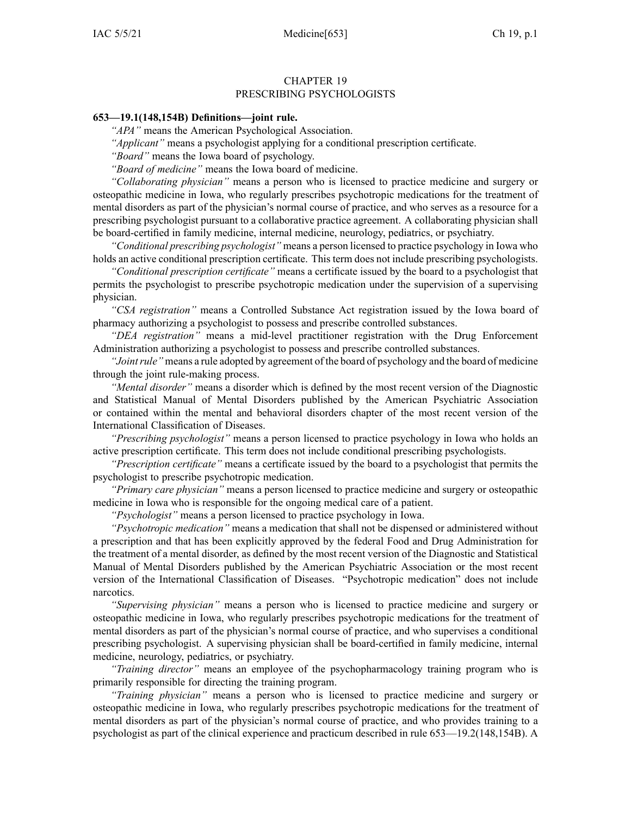## CHAPTER 19 PRESCRIBING PSYCHOLOGISTS

## **653—19.1(148,154B) Definitions—joint rule.**

*"APA"* means the American Psychological Association.

*"Applicant"* means <sup>a</sup> psychologist applying for <sup>a</sup> conditional prescription certificate.

*"Board"* means the Iowa board of psychology.

*"Board of medicine"* means the Iowa board of medicine.

*"Collaborating physician"* means <sup>a</sup> person who is licensed to practice medicine and surgery or osteopathic medicine in Iowa, who regularly prescribes psychotropic medications for the treatment of mental disorders as par<sup>t</sup> of the physician's normal course of practice, and who serves as <sup>a</sup> resource for <sup>a</sup> prescribing psychologist pursuan<sup>t</sup> to <sup>a</sup> collaborative practice agreement. A collaborating physician shall be board-certified in family medicine, internal medicine, neurology, pediatrics, or psychiatry.

*"Conditional prescribing psychologist"* means <sup>a</sup> person licensed to practice psychology in Iowa who holds an active conditional prescription certificate. This term does not include prescribing psychologists.

*"Conditional prescription certificate"* means <sup>a</sup> certificate issued by the board to <sup>a</sup> psychologist that permits the psychologist to prescribe psychotropic medication under the supervision of <sup>a</sup> supervising physician.

*"CSA registration"* means <sup>a</sup> Controlled Substance Act registration issued by the Iowa board of pharmacy authorizing <sup>a</sup> psychologist to possess and prescribe controlled substances.

*"DEA registration"* means <sup>a</sup> mid-level practitioner registration with the Drug Enforcement Administration authorizing <sup>a</sup> psychologist to possess and prescribe controlled substances.

*"Jointrule"* means <sup>a</sup> rule adopted by agreemen<sup>t</sup> of the board of psychology and the board of medicine through the joint rule-making process.

*"Mental disorder"* means <sup>a</sup> disorder which is defined by the most recent version of the Diagnostic and Statistical Manual of Mental Disorders published by the American Psychiatric Association or contained within the mental and behavioral disorders chapter of the most recent version of the International Classification of Diseases.

*"Prescribing psychologist"* means <sup>a</sup> person licensed to practice psychology in Iowa who holds an active prescription certificate. This term does not include conditional prescribing psychologists.

*"Prescription certificate"* means <sup>a</sup> certificate issued by the board to <sup>a</sup> psychologist that permits the psychologist to prescribe psychotropic medication.

*"Primary care physician"* means <sup>a</sup> person licensed to practice medicine and surgery or osteopathic medicine in Iowa who is responsible for the ongoing medical care of <sup>a</sup> patient.

*"Psychologist"* means <sup>a</sup> person licensed to practice psychology in Iowa.

*"Psychotropic medication"* means <sup>a</sup> medication that shall not be dispensed or administered without <sup>a</sup> prescription and that has been explicitly approved by the federal Food and Drug Administration for the treatment of <sup>a</sup> mental disorder, as defined by the most recent version of the Diagnostic and Statistical Manual of Mental Disorders published by the American Psychiatric Association or the most recent version of the International Classification of Diseases. "Psychotropic medication" does not include narcotics.

*"Supervising physician"* means <sup>a</sup> person who is licensed to practice medicine and surgery or osteopathic medicine in Iowa, who regularly prescribes psychotropic medications for the treatment of mental disorders as par<sup>t</sup> of the physician's normal course of practice, and who supervises <sup>a</sup> conditional prescribing psychologist. A supervising physician shall be board-certified in family medicine, internal medicine, neurology, pediatrics, or psychiatry.

*"Training director"* means an employee of the psychopharmacology training program who is primarily responsible for directing the training program.

*"Training physician"* means <sup>a</sup> person who is licensed to practice medicine and surgery or osteopathic medicine in Iowa, who regularly prescribes psychotropic medications for the treatment of mental disorders as par<sup>t</sup> of the physician's normal course of practice, and who provides training to <sup>a</sup> psychologist as par<sup>t</sup> of the clinical experience and practicum described in rule 653—19.2(148,154B). A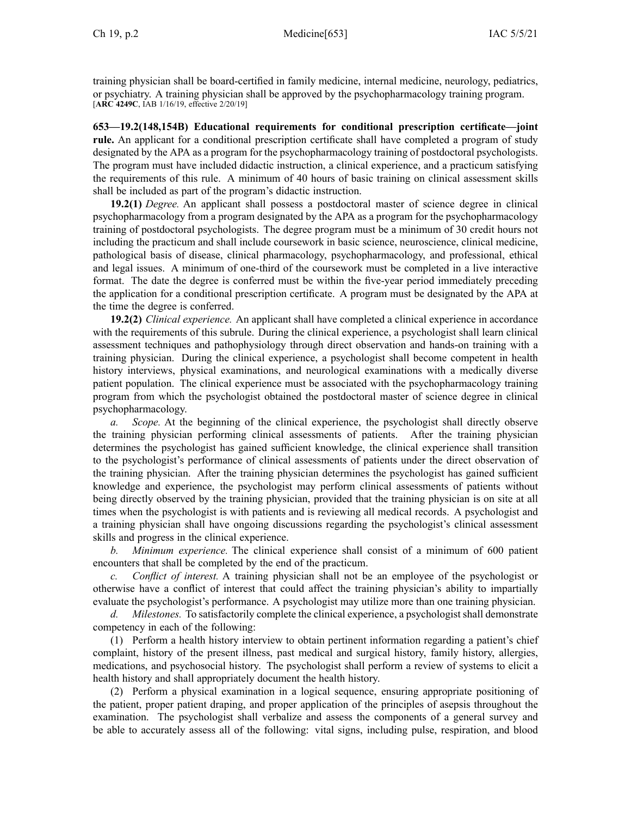training physician shall be board-certified in family medicine, internal medicine, neurology, pediatrics, or psychiatry. A training physician shall be approved by the psychopharmacology training program. [**ARC [4249C](https://www.legis.iowa.gov/docs/aco/arc/4249C.pdf)**, IAB 1/16/19, effective 2/20/19]

**653—19.2(148,154B) Educational requirements for conditional prescription certificate—joint rule.** An applicant for <sup>a</sup> conditional prescription certificate shall have completed <sup>a</sup> program of study designated by the APA as <sup>a</sup> program for the psychopharmacology training of postdoctoral psychologists. The program must have included didactic instruction, <sup>a</sup> clinical experience, and <sup>a</sup> practicum satisfying the requirements of this rule. A minimum of 40 hours of basic training on clinical assessment skills shall be included as par<sup>t</sup> of the program's didactic instruction.

**19.2(1)** *Degree.* An applicant shall possess <sup>a</sup> postdoctoral master of science degree in clinical psychopharmacology from <sup>a</sup> program designated by the APA as <sup>a</sup> program for the psychopharmacology training of postdoctoral psychologists. The degree program must be <sup>a</sup> minimum of 30 credit hours not including the practicum and shall include coursework in basic science, neuroscience, clinical medicine, pathological basis of disease, clinical pharmacology, psychopharmacology, and professional, ethical and legal issues. A minimum of one-third of the coursework must be completed in <sup>a</sup> live interactive format. The date the degree is conferred must be within the five-year period immediately preceding the application for <sup>a</sup> conditional prescription certificate. A program must be designated by the APA at the time the degree is conferred.

**19.2(2)** *Clinical experience.* An applicant shall have completed <sup>a</sup> clinical experience in accordance with the requirements of this subrule. During the clinical experience, a psychologist shall learn clinical assessment techniques and pathophysiology through direct observation and hands-on training with <sup>a</sup> training physician. During the clinical experience, <sup>a</sup> psychologist shall become competent in health history interviews, physical examinations, and neurological examinations with <sup>a</sup> medically diverse patient population. The clinical experience must be associated with the psychopharmacology training program from which the psychologist obtained the postdoctoral master of science degree in clinical psychopharmacology.

*a. Scope.* At the beginning of the clinical experience, the psychologist shall directly observe the training physician performing clinical assessments of patients. After the training physician determines the psychologist has gained sufficient knowledge, the clinical experience shall transition to the psychologist's performance of clinical assessments of patients under the direct observation of the training physician. After the training physician determines the psychologist has gained sufficient knowledge and experience, the psychologist may perform clinical assessments of patients without being directly observed by the training physician, provided that the training physician is on site at all times when the psychologist is with patients and is reviewing all medical records. A psychologist and <sup>a</sup> training physician shall have ongoing discussions regarding the psychologist's clinical assessment skills and progress in the clinical experience.

*b. Minimum experience.* The clinical experience shall consist of <sup>a</sup> minimum of 600 patient encounters that shall be completed by the end of the practicum.

*Conflict of interest.* A training physician shall not be an employee of the psychologist or otherwise have <sup>a</sup> conflict of interest that could affect the training physician's ability to impartially evaluate the psychologist's performance. A psychologist may utilize more than one training physician.

*d. Milestones.* To satisfactorily complete the clinical experience, <sup>a</sup> psychologist shall demonstrate competency in each of the following:

(1) Perform <sup>a</sup> health history interview to obtain pertinent information regarding <sup>a</sup> patient's chief complaint, history of the presen<sup>t</sup> illness, pas<sup>t</sup> medical and surgical history, family history, allergies, medications, and psychosocial history. The psychologist shall perform <sup>a</sup> review of systems to elicit <sup>a</sup> health history and shall appropriately document the health history.

(2) Perform <sup>a</sup> physical examination in <sup>a</sup> logical sequence, ensuring appropriate positioning of the patient, proper patient draping, and proper application of the principles of asepsis throughout the examination. The psychologist shall verbalize and assess the components of <sup>a</sup> general survey and be able to accurately assess all of the following: vital signs, including pulse, respiration, and blood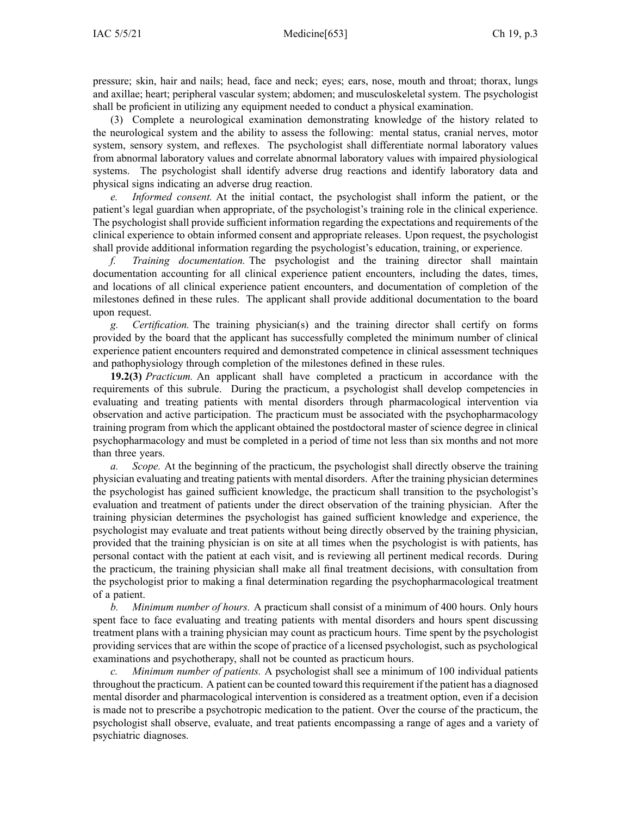pressure; skin, hair and nails; head, face and neck; eyes; ears, nose, mouth and throat; thorax, lungs and axillae; heart; peripheral vascular system; abdomen; and musculoskeletal system. The psychologist shall be proficient in utilizing any equipment needed to conduct <sup>a</sup> physical examination.

(3) Complete <sup>a</sup> neurological examination demonstrating knowledge of the history related to the neurological system and the ability to assess the following: mental status, cranial nerves, motor system, sensory system, and reflexes. The psychologist shall differentiate normal laboratory values from abnormal laboratory values and correlate abnormal laboratory values with impaired physiological systems. The psychologist shall identify adverse drug reactions and identify laboratory data and physical signs indicating an adverse drug reaction.

*e. Informed consent.* At the initial contact, the psychologist shall inform the patient, or the patient's legal guardian when appropriate, of the psychologist's training role in the clinical experience. The psychologist shall provide sufficient information regarding the expectations and requirements of the clinical experience to obtain informed consent and appropriate releases. Upon request, the psychologist shall provide additional information regarding the psychologist's education, training, or experience.

*f. Training documentation.* The psychologist and the training director shall maintain documentation accounting for all clinical experience patient encounters, including the dates, times, and locations of all clinical experience patient encounters, and documentation of completion of the milestones defined in these rules. The applicant shall provide additional documentation to the board upon request.

*g. Certification.* The training physician(s) and the training director shall certify on forms provided by the board that the applicant has successfully completed the minimum number of clinical experience patient encounters required and demonstrated competence in clinical assessment techniques and pathophysiology through completion of the milestones defined in these rules.

**19.2(3)** *Practicum.* An applicant shall have completed <sup>a</sup> practicum in accordance with the requirements of this subrule. During the practicum, <sup>a</sup> psychologist shall develop competencies in evaluating and treating patients with mental disorders through pharmacological intervention via observation and active participation. The practicum must be associated with the psychopharmacology training program from which the applicant obtained the postdoctoral master of science degree in clinical psychopharmacology and must be completed in <sup>a</sup> period of time not less than six months and not more than three years.

*a. Scope.* At the beginning of the practicum, the psychologist shall directly observe the training physician evaluating and treating patients with mental disorders. After the training physician determines the psychologist has gained sufficient knowledge, the practicum shall transition to the psychologist's evaluation and treatment of patients under the direct observation of the training physician. After the training physician determines the psychologist has gained sufficient knowledge and experience, the psychologist may evaluate and treat patients without being directly observed by the training physician, provided that the training physician is on site at all times when the psychologist is with patients, has personal contact with the patient at each visit, and is reviewing all pertinent medical records. During the practicum, the training physician shall make all final treatment decisions, with consultation from the psychologist prior to making <sup>a</sup> final determination regarding the psychopharmacological treatment of <sup>a</sup> patient.

*b. Minimum number of hours.* A practicum shall consist of <sup>a</sup> minimum of 400 hours. Only hours spent face to face evaluating and treating patients with mental disorders and hours spent discussing treatment plans with <sup>a</sup> training physician may count as practicum hours. Time spen<sup>t</sup> by the psychologist providing services that are within the scope of practice of <sup>a</sup> licensed psychologist, such as psychological examinations and psychotherapy, shall not be counted as practicum hours.

*c. Minimum number of patients.* A psychologist shall see <sup>a</sup> minimum of 100 individual patients throughout the practicum. A patient can be counted toward thisrequirement if the patient has <sup>a</sup> diagnosed mental disorder and pharmacological intervention is considered as <sup>a</sup> treatment option, even if <sup>a</sup> decision is made not to prescribe <sup>a</sup> psychotropic medication to the patient. Over the course of the practicum, the psychologist shall observe, evaluate, and treat patients encompassing <sup>a</sup> range of ages and <sup>a</sup> variety of psychiatric diagnoses.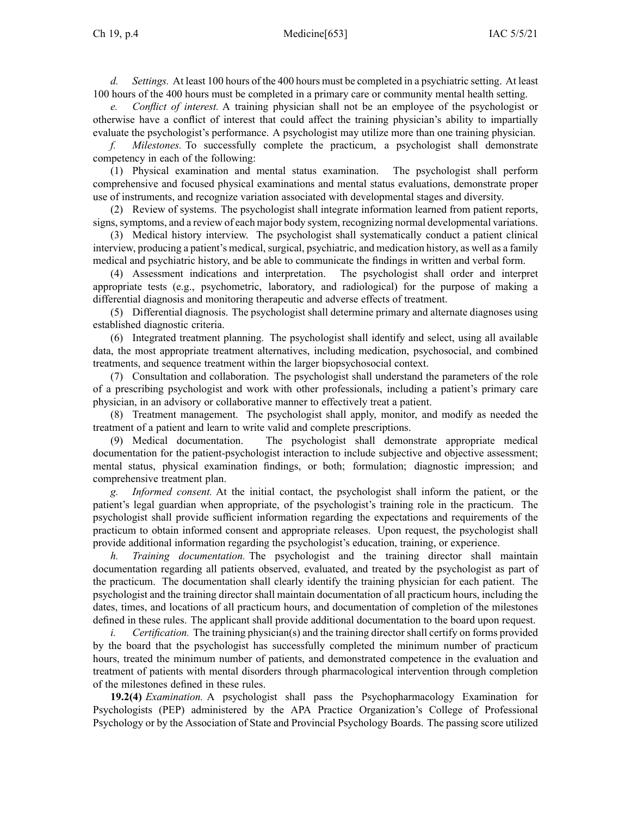*d. Settings.* At least 100 hours of the 400 hours must be completed in <sup>a</sup> psychiatric setting. At least 100 hours of the 400 hours must be completed in <sup>a</sup> primary care or community mental health setting.

*Conflict of interest.* A training physician shall not be an employee of the psychologist or otherwise have <sup>a</sup> conflict of interest that could affect the training physician's ability to impartially evaluate the psychologist's performance. A psychologist may utilize more than one training physician.

*f. Milestones.* To successfully complete the practicum, <sup>a</sup> psychologist shall demonstrate competency in each of the following:

(1) Physical examination and mental status examination. The psychologist shall perform comprehensive and focused physical examinations and mental status evaluations, demonstrate proper use of instruments, and recognize variation associated with developmental stages and diversity.

(2) Review of systems. The psychologist shall integrate information learned from patient reports, signs,symptoms, and <sup>a</sup> review of each major body system, recognizing normal developmental variations.

(3) Medical history interview. The psychologist shall systematically conduct <sup>a</sup> patient clinical interview, producing <sup>a</sup> patient's medical, surgical, psychiatric, and medication history, as well as <sup>a</sup> family medical and psychiatric history, and be able to communicate the findings in written and verbal form.

(4) Assessment indications and interpretation. The psychologist shall order and interpret appropriate tests (e.g., psychometric, laboratory, and radiological) for the purpose of making <sup>a</sup> differential diagnosis and monitoring therapeutic and adverse effects of treatment.

(5) Differential diagnosis. The psychologist shall determine primary and alternate diagnoses using established diagnostic criteria.

(6) Integrated treatment planning. The psychologist shall identify and select, using all available data, the most appropriate treatment alternatives, including medication, psychosocial, and combined treatments, and sequence treatment within the larger biopsychosocial context.

(7) Consultation and collaboration. The psychologist shall understand the parameters of the role of <sup>a</sup> prescribing psychologist and work with other professionals, including <sup>a</sup> patient's primary care physician, in an advisory or collaborative manner to effectively treat <sup>a</sup> patient.

(8) Treatment management. The psychologist shall apply, monitor, and modify as needed the treatment of <sup>a</sup> patient and learn to write valid and complete prescriptions.

(9) Medical documentation. The psychologist shall demonstrate appropriate medical documentation for the patient-psychologist interaction to include subjective and objective assessment; mental status, physical examination findings, or both; formulation; diagnostic impression; and comprehensive treatment plan.

*g. Informed consent.* At the initial contact, the psychologist shall inform the patient, or the patient's legal guardian when appropriate, of the psychologist's training role in the practicum. The psychologist shall provide sufficient information regarding the expectations and requirements of the practicum to obtain informed consent and appropriate releases. Upon request, the psychologist shall provide additional information regarding the psychologist's education, training, or experience.

*h. Training documentation.* The psychologist and the training director shall maintain documentation regarding all patients observed, evaluated, and treated by the psychologist as par<sup>t</sup> of the practicum. The documentation shall clearly identify the training physician for each patient. The psychologist and the training director shall maintain documentation of all practicum hours, including the dates, times, and locations of all practicum hours, and documentation of completion of the milestones defined in these rules. The applicant shall provide additional documentation to the board upon request.

*i. Certification.* The training physician(s) and the training director shall certify on forms provided by the board that the psychologist has successfully completed the minimum number of practicum hours, treated the minimum number of patients, and demonstrated competence in the evaluation and treatment of patients with mental disorders through pharmacological intervention through completion of the milestones defined in these rules.

**19.2(4)** *Examination.* A psychologist shall pass the Psychopharmacology Examination for Psychologists (PEP) administered by the APA Practice Organization's College of Professional Psychology or by the Association of State and Provincial Psychology Boards. The passing score utilized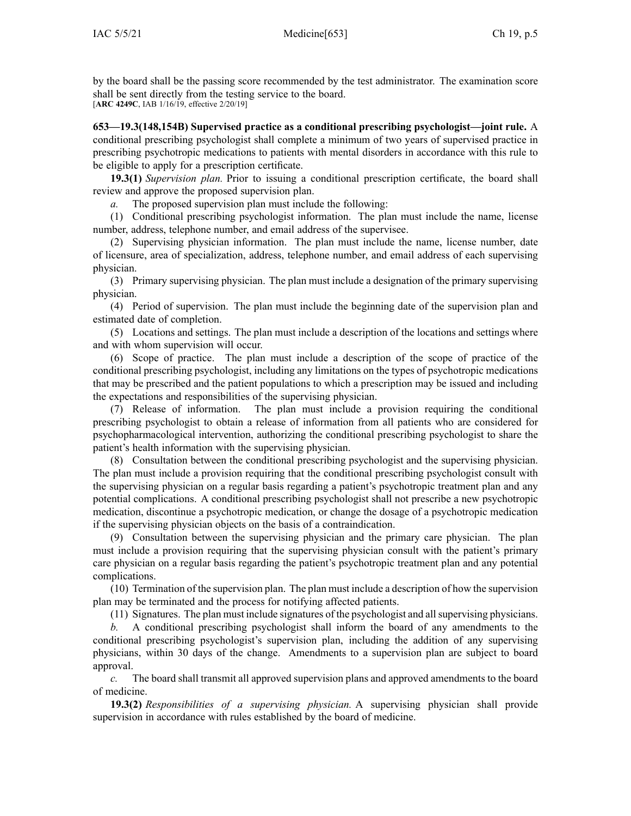by the board shall be the passing score recommended by the test administrator. The examination score shall be sent directly from the testing service to the board. [**ARC [4249C](https://www.legis.iowa.gov/docs/aco/arc/4249C.pdf)**, IAB 1/16/19, effective 2/20/19]

**653—19.3(148,154B) Supervised practice as <sup>a</sup> conditional prescribing psychologist—joint rule.** A conditional prescribing psychologist shall complete <sup>a</sup> minimum of two years of supervised practice in prescribing psychotropic medications to patients with mental disorders in accordance with this rule to be eligible to apply for <sup>a</sup> prescription certificate.

**19.3(1)** *Supervision plan.* Prior to issuing <sup>a</sup> conditional prescription certificate, the board shall review and approve the proposed supervision plan.

*a.* The proposed supervision plan must include the following:

(1) Conditional prescribing psychologist information. The plan must include the name, license number, address, telephone number, and email address of the supervisee.

(2) Supervising physician information. The plan must include the name, license number, date of licensure, area of specialization, address, telephone number, and email address of each supervising physician.

(3) Primary supervising physician. The plan must include <sup>a</sup> designation of the primary supervising physician.

(4) Period of supervision. The plan must include the beginning date of the supervision plan and estimated date of completion.

(5) Locations and settings. The plan must include <sup>a</sup> description of the locations and settings where and with whom supervision will occur.

(6) Scope of practice. The plan must include <sup>a</sup> description of the scope of practice of the conditional prescribing psychologist, including any limitations on the types of psychotropic medications that may be prescribed and the patient populations to which <sup>a</sup> prescription may be issued and including the expectations and responsibilities of the supervising physician.

(7) Release of information. The plan must include <sup>a</sup> provision requiring the conditional prescribing psychologist to obtain <sup>a</sup> release of information from all patients who are considered for psychopharmacological intervention, authorizing the conditional prescribing psychologist to share the patient's health information with the supervising physician.

(8) Consultation between the conditional prescribing psychologist and the supervising physician. The plan must include <sup>a</sup> provision requiring that the conditional prescribing psychologist consult with the supervising physician on <sup>a</sup> regular basis regarding <sup>a</sup> patient's psychotropic treatment plan and any potential complications. A conditional prescribing psychologist shall not prescribe <sup>a</sup> new psychotropic medication, discontinue <sup>a</sup> psychotropic medication, or change the dosage of <sup>a</sup> psychotropic medication if the supervising physician objects on the basis of <sup>a</sup> contraindication.

(9) Consultation between the supervising physician and the primary care physician. The plan must include <sup>a</sup> provision requiring that the supervising physician consult with the patient's primary care physician on <sup>a</sup> regular basis regarding the patient's psychotropic treatment plan and any potential complications.

(10) Termination of the supervision plan. The plan must include <sup>a</sup> description of how the supervision plan may be terminated and the process for notifying affected patients.

(11) Signatures. The plan must include signatures of the psychologist and allsupervising physicians.

*b.* A conditional prescribing psychologist shall inform the board of any amendments to the conditional prescribing psychologist's supervision plan, including the addition of any supervising physicians, within 30 days of the change. Amendments to <sup>a</sup> supervision plan are subject to board approval.

*c.* The board shall transmit all approved supervision plans and approved amendments to the board of medicine.

**19.3(2)** *Responsibilities of <sup>a</sup> supervising physician.* A supervising physician shall provide supervision in accordance with rules established by the board of medicine.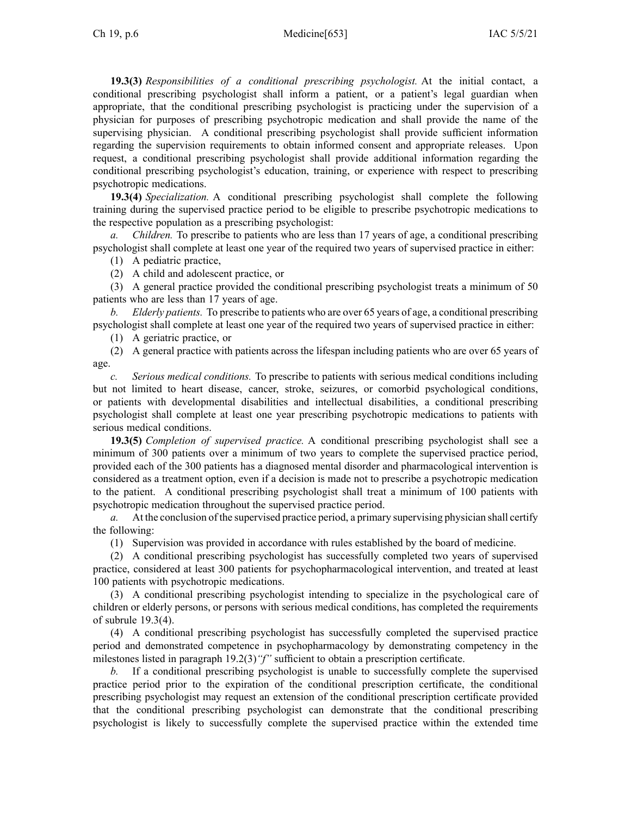**19.3(3)** *Responsibilities of <sup>a</sup> conditional prescribing psychologist.* At the initial contact, <sup>a</sup> conditional prescribing psychologist shall inform <sup>a</sup> patient, or <sup>a</sup> patient's legal guardian when appropriate, that the conditional prescribing psychologist is practicing under the supervision of <sup>a</sup> physician for purposes of prescribing psychotropic medication and shall provide the name of the supervising physician. A conditional prescribing psychologist shall provide sufficient information regarding the supervision requirements to obtain informed consent and appropriate releases. Upon request, <sup>a</sup> conditional prescribing psychologist shall provide additional information regarding the conditional prescribing psychologist's education, training, or experience with respec<sup>t</sup> to prescribing psychotropic medications.

**19.3(4)** *Specialization.* A conditional prescribing psychologist shall complete the following training during the supervised practice period to be eligible to prescribe psychotropic medications to the respective population as <sup>a</sup> prescribing psychologist:

*a. Children.* To prescribe to patients who are less than 17 years of age, <sup>a</sup> conditional prescribing psychologist shall complete at least one year of the required two years of supervised practice in either:

(1) A pediatric practice,

(2) A child and adolescent practice, or

(3) A general practice provided the conditional prescribing psychologist treats <sup>a</sup> minimum of 50 patients who are less than 17 years of age.

*b. Elderly patients.* To prescribe to patients who are over 65 years of age, <sup>a</sup> conditional prescribing psychologist shall complete at least one year of the required two years of supervised practice in either:

(1) A geriatric practice, or

(2) A general practice with patients across the lifespan including patients who are over 65 years of age.

*c. Serious medical conditions.* To prescribe to patients with serious medical conditions including but not limited to heart disease, cancer, stroke, seizures, or comorbid psychological conditions, or patients with developmental disabilities and intellectual disabilities, <sup>a</sup> conditional prescribing psychologist shall complete at least one year prescribing psychotropic medications to patients with serious medical conditions.

**19.3(5)** *Completion of supervised practice.* A conditional prescribing psychologist shall see <sup>a</sup> minimum of 300 patients over <sup>a</sup> minimum of two years to complete the supervised practice period, provided each of the 300 patients has <sup>a</sup> diagnosed mental disorder and pharmacological intervention is considered as <sup>a</sup> treatment option, even if <sup>a</sup> decision is made not to prescribe <sup>a</sup> psychotropic medication to the patient. A conditional prescribing psychologist shall treat <sup>a</sup> minimum of 100 patients with psychotropic medication throughout the supervised practice period.

*a.* At the conclusion of the supervised practice period, <sup>a</sup> primary supervising physician shall certify the following:

(1) Supervision was provided in accordance with rules established by the board of medicine.

(2) A conditional prescribing psychologist has successfully completed two years of supervised practice, considered at least 300 patients for psychopharmacological intervention, and treated at least 100 patients with psychotropic medications.

(3) A conditional prescribing psychologist intending to specialize in the psychological care of children or elderly persons, or persons with serious medical conditions, has completed the requirements of subrule 19.3(4).

(4) A conditional prescribing psychologist has successfully completed the supervised practice period and demonstrated competence in psychopharmacology by demonstrating competency in the milestones listed in paragraph 19.2(3)*"f"* sufficient to obtain <sup>a</sup> prescription certificate.

*b.* If <sup>a</sup> conditional prescribing psychologist is unable to successfully complete the supervised practice period prior to the expiration of the conditional prescription certificate, the conditional prescribing psychologist may reques<sup>t</sup> an extension of the conditional prescription certificate provided that the conditional prescribing psychologist can demonstrate that the conditional prescribing psychologist is likely to successfully complete the supervised practice within the extended time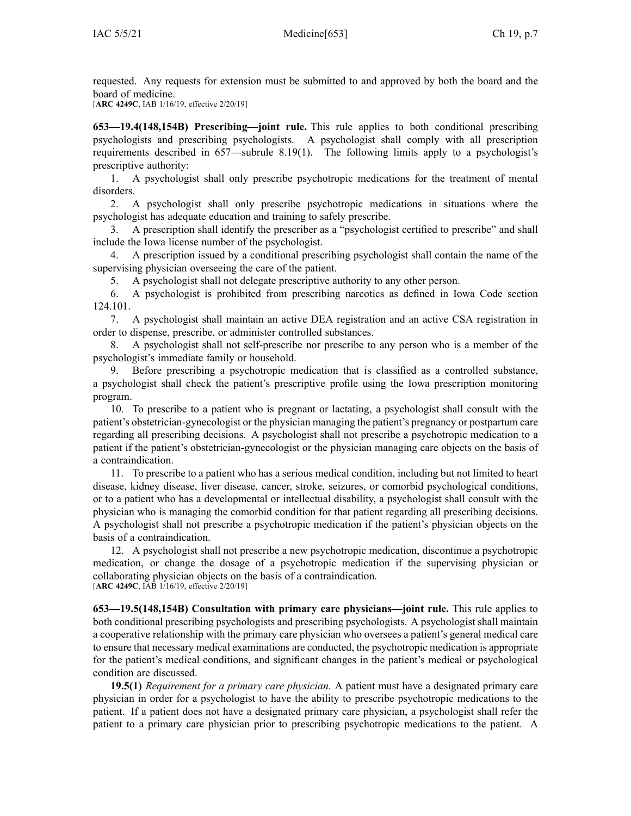requested. Any requests for extension must be submitted to and approved by both the board and the board of medicine.

[**ARC [4249C](https://www.legis.iowa.gov/docs/aco/arc/4249C.pdf)**, IAB 1/16/19, effective 2/20/19]

**653—19.4(148,154B) Prescribing—joint rule.** This rule applies to both conditional prescribing psychologists and prescribing psychologists. A psychologist shall comply with all prescription requirements described in 657—subrule 8.19(1). The following limits apply to <sup>a</sup> psychologist's prescriptive authority:

1. A psychologist shall only prescribe psychotropic medications for the treatment of mental disorders.

2. A psychologist shall only prescribe psychotropic medications in situations where the psychologist has adequate education and training to safely prescribe.

3. A prescription shall identify the prescriber as <sup>a</sup> "psychologist certified to prescribe" and shall include the Iowa license number of the psychologist.

4. A prescription issued by <sup>a</sup> conditional prescribing psychologist shall contain the name of the supervising physician overseeing the care of the patient.

5. A psychologist shall not delegate prescriptive authority to any other person.

6. A psychologist is prohibited from prescribing narcotics as defined in Iowa Code section [124.101](https://www.legis.iowa.gov/docs/ico/section/2018/124.101.pdf).

7. A psychologist shall maintain an active DEA registration and an active CSA registration in order to dispense, prescribe, or administer controlled substances.

8. A psychologist shall not self-prescribe nor prescribe to any person who is <sup>a</sup> member of the psychologist's immediate family or household.

9. Before prescribing <sup>a</sup> psychotropic medication that is classified as <sup>a</sup> controlled substance, <sup>a</sup> psychologist shall check the patient's prescriptive profile using the Iowa prescription monitoring program.

10. To prescribe to <sup>a</sup> patient who is pregnan<sup>t</sup> or lactating, <sup>a</sup> psychologist shall consult with the patient's obstetrician-gynecologist or the physician managing the patient's pregnancy or postpartum care regarding all prescribing decisions. A psychologist shall not prescribe <sup>a</sup> psychotropic medication to <sup>a</sup> patient if the patient's obstetrician-gynecologist or the physician managing care objects on the basis of <sup>a</sup> contraindication.

11. To prescribe to <sup>a</sup> patient who has <sup>a</sup> serious medical condition, including but not limited to heart disease, kidney disease, liver disease, cancer, stroke, seizures, or comorbid psychological conditions, or to <sup>a</sup> patient who has <sup>a</sup> developmental or intellectual disability, <sup>a</sup> psychologist shall consult with the physician who is managing the comorbid condition for that patient regarding all prescribing decisions. A psychologist shall not prescribe <sup>a</sup> psychotropic medication if the patient's physician objects on the basis of <sup>a</sup> contraindication.

12. A psychologist shall not prescribe <sup>a</sup> new psychotropic medication, discontinue <sup>a</sup> psychotropic medication, or change the dosage of <sup>a</sup> psychotropic medication if the supervising physician or collaborating physician objects on the basis of <sup>a</sup> contraindication. [**ARC [4249C](https://www.legis.iowa.gov/docs/aco/arc/4249C.pdf)**, IAB 1/16/19, effective 2/20/19]

**653—19.5(148,154B) Consultation with primary care physicians—joint rule.** This rule applies to both conditional prescribing psychologists and prescribing psychologists. A psychologist shall maintain <sup>a</sup> cooperative relationship with the primary care physician who oversees <sup>a</sup> patient's general medical care to ensure that necessary medical examinations are conducted, the psychotropic medication is appropriate for the patient's medical conditions, and significant changes in the patient's medical or psychological condition are discussed.

**19.5(1)** *Requirement for <sup>a</sup> primary care physician.* A patient must have <sup>a</sup> designated primary care physician in order for <sup>a</sup> psychologist to have the ability to prescribe psychotropic medications to the patient. If <sup>a</sup> patient does not have <sup>a</sup> designated primary care physician, <sup>a</sup> psychologist shall refer the patient to <sup>a</sup> primary care physician prior to prescribing psychotropic medications to the patient. A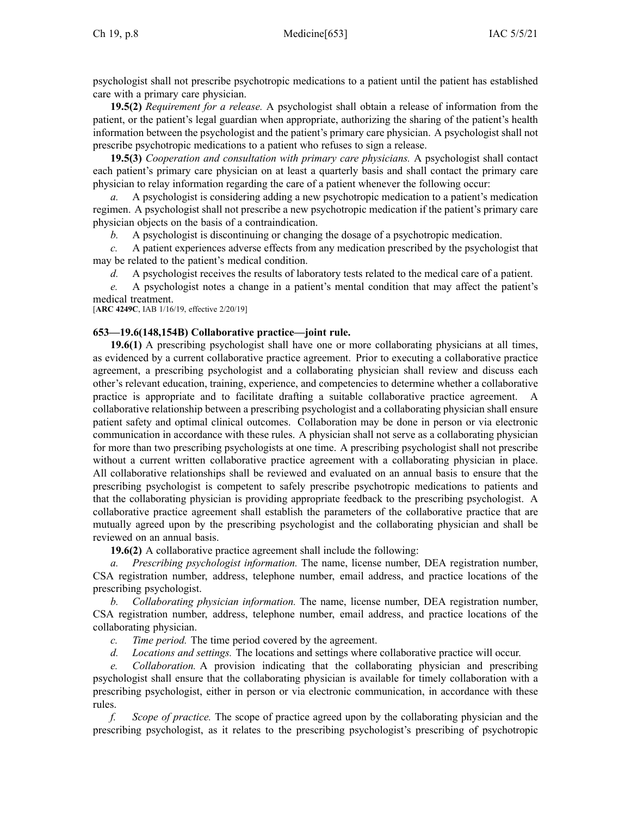psychologist shall not prescribe psychotropic medications to <sup>a</sup> patient until the patient has established care with <sup>a</sup> primary care physician.

**19.5(2)** *Requirement for <sup>a</sup> release.* A psychologist shall obtain <sup>a</sup> release of information from the patient, or the patient's legal guardian when appropriate, authorizing the sharing of the patient's health information between the psychologist and the patient's primary care physician. A psychologist shall not prescribe psychotropic medications to <sup>a</sup> patient who refuses to sign <sup>a</sup> release.

**19.5(3)** *Cooperation and consultation with primary care physicians.* A psychologist shall contact each patient's primary care physician on at least <sup>a</sup> quarterly basis and shall contact the primary care physician to relay information regarding the care of <sup>a</sup> patient whenever the following occur:

*a.* A psychologist is considering adding <sup>a</sup> new psychotropic medication to <sup>a</sup> patient's medication regimen. A psychologist shall not prescribe <sup>a</sup> new psychotropic medication if the patient's primary care physician objects on the basis of <sup>a</sup> contraindication.

*b.* A psychologist is discontinuing or changing the dosage of <sup>a</sup> psychotropic medication.

*c.* A patient experiences adverse effects from any medication prescribed by the psychologist that may be related to the patient's medical condition.

*d.* A psychologist receives the results of laboratory tests related to the medical care of <sup>a</sup> patient.

*e.* A psychologist notes <sup>a</sup> change in <sup>a</sup> patient's mental condition that may affect the patient's medical treatment.

[**ARC [4249C](https://www.legis.iowa.gov/docs/aco/arc/4249C.pdf)**, IAB 1/16/19, effective 2/20/19]

## **653—19.6(148,154B) Collaborative practice—joint rule.**

**19.6(1)** A prescribing psychologist shall have one or more collaborating physicians at all times, as evidenced by <sup>a</sup> current collaborative practice agreement. Prior to executing <sup>a</sup> collaborative practice agreement, <sup>a</sup> prescribing psychologist and <sup>a</sup> collaborating physician shall review and discuss each other's relevant education, training, experience, and competencies to determine whether <sup>a</sup> collaborative practice is appropriate and to facilitate drafting <sup>a</sup> suitable collaborative practice agreement. A collaborative relationship between <sup>a</sup> prescribing psychologist and <sup>a</sup> collaborating physician shall ensure patient safety and optimal clinical outcomes. Collaboration may be done in person or via electronic communication in accordance with these rules. A physician shall not serve as <sup>a</sup> collaborating physician for more than two prescribing psychologists at one time. A prescribing psychologist shall not prescribe without <sup>a</sup> current written collaborative practice agreemen<sup>t</sup> with <sup>a</sup> collaborating physician in place. All collaborative relationships shall be reviewed and evaluated on an annual basis to ensure that the prescribing psychologist is competent to safely prescribe psychotropic medications to patients and that the collaborating physician is providing appropriate feedback to the prescribing psychologist. A collaborative practice agreemen<sup>t</sup> shall establish the parameters of the collaborative practice that are mutually agreed upon by the prescribing psychologist and the collaborating physician and shall be reviewed on an annual basis.

**19.6(2)** A collaborative practice agreemen<sup>t</sup> shall include the following:

*a. Prescribing psychologist information.* The name, license number, DEA registration number, CSA registration number, address, telephone number, email address, and practice locations of the prescribing psychologist.

*b. Collaborating physician information.* The name, license number, DEA registration number, CSA registration number, address, telephone number, email address, and practice locations of the collaborating physician.

*c. Time period.* The time period covered by the agreement.

*d. Locations and settings.* The locations and settings where collaborative practice will occur.

*e. Collaboration.* A provision indicating that the collaborating physician and prescribing psychologist shall ensure that the collaborating physician is available for timely collaboration with <sup>a</sup> prescribing psychologist, either in person or via electronic communication, in accordance with these rules.

*f. Scope of practice.* The scope of practice agreed upon by the collaborating physician and the prescribing psychologist, as it relates to the prescribing psychologist's prescribing of psychotropic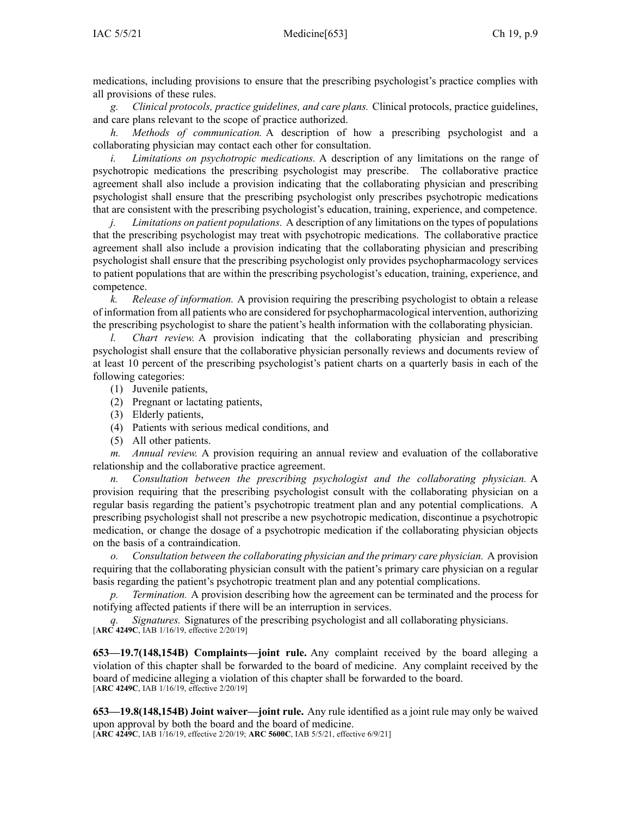medications, including provisions to ensure that the prescribing psychologist's practice complies with all provisions of these rules.

*g. Clinical protocols, practice guidelines, and care plans.* Clinical protocols, practice guidelines, and care plans relevant to the scope of practice authorized.

*h. Methods of communication.* A description of how <sup>a</sup> prescribing psychologist and <sup>a</sup> collaborating physician may contact each other for consultation.

*i. Limitations on psychotropic medications.* A description of any limitations on the range of psychotropic medications the prescribing psychologist may prescribe. The collaborative practice agreemen<sup>t</sup> shall also include <sup>a</sup> provision indicating that the collaborating physician and prescribing psychologist shall ensure that the prescribing psychologist only prescribes psychotropic medications that are consistent with the prescribing psychologist's education, training, experience, and competence.

*j. Limitations on patient populations.* A description of any limitations on the types of populations that the prescribing psychologist may treat with psychotropic medications. The collaborative practice agreemen<sup>t</sup> shall also include <sup>a</sup> provision indicating that the collaborating physician and prescribing psychologist shall ensure that the prescribing psychologist only provides psychopharmacology services to patient populations that are within the prescribing psychologist's education, training, experience, and competence.

*k. Release of information.* A provision requiring the prescribing psychologist to obtain <sup>a</sup> release of information from all patients who are considered for psychopharmacological intervention, authorizing the prescribing psychologist to share the patient's health information with the collaborating physician.

*l. Chart review.* A provision indicating that the collaborating physician and prescribing psychologist shall ensure that the collaborative physician personally reviews and documents review of at least 10 percen<sup>t</sup> of the prescribing psychologist's patient charts on <sup>a</sup> quarterly basis in each of the following categories:

- (1) Juvenile patients,
- (2) Pregnant or lactating patients,
- (3) Elderly patients,
- (4) Patients with serious medical conditions, and
- (5) All other patients.

*m. Annual review.* A provision requiring an annual review and evaluation of the collaborative relationship and the collaborative practice agreement.

*n. Consultation between the prescribing psychologist and the collaborating physician.* A provision requiring that the prescribing psychologist consult with the collaborating physician on <sup>a</sup> regular basis regarding the patient's psychotropic treatment plan and any potential complications. A prescribing psychologist shall not prescribe <sup>a</sup> new psychotropic medication, discontinue <sup>a</sup> psychotropic medication, or change the dosage of <sup>a</sup> psychotropic medication if the collaborating physician objects on the basis of <sup>a</sup> contraindication.

*o. Consultation between the collaborating physician and the primary care physician.* A provision requiring that the collaborating physician consult with the patient's primary care physician on <sup>a</sup> regular basis regarding the patient's psychotropic treatment plan and any potential complications.

*Termination.* A provision describing how the agreement can be terminated and the process for notifying affected patients if there will be an interruption in services.

*q. Signatures.* Signatures of the prescribing psychologist and all collaborating physicians. [**ARC [4249C](https://www.legis.iowa.gov/docs/aco/arc/4249C.pdf)**, IAB 1/16/19, effective 2/20/19]

**653—19.7(148,154B) Complaints—joint rule.** Any complaint received by the board alleging <sup>a</sup> violation of this chapter shall be forwarded to the board of medicine. Any complaint received by the board of medicine alleging <sup>a</sup> violation of this chapter shall be forwarded to the board. [**ARC [4249C](https://www.legis.iowa.gov/docs/aco/arc/4249C.pdf)**, IAB 1/16/19, effective 2/20/19]

**653—19.8(148,154B) Joint waiver—joint rule.** Any rule identified as <sup>a</sup> joint rule may only be waived upon approval by both the board and the board of medicine. [**ARC [4249C](https://www.legis.iowa.gov/docs/aco/arc/4249C.pdf)**, IAB 1/16/19, effective 2/20/19; **ARC [5600C](https://www.legis.iowa.gov/docs/aco/arc/5600C.pdf)**, IAB 5/5/21, effective 6/9/21]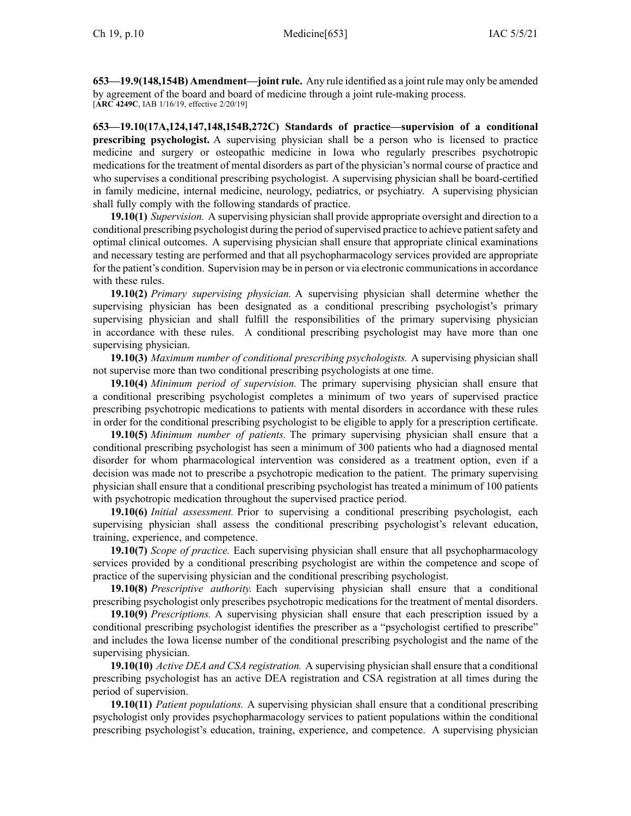**653—19.9(148,154B) Amendment—joint rule.** Any rule identified as <sup>a</sup> joint rule may only be amended by agreemen<sup>t</sup> of the board and board of medicine through <sup>a</sup> joint rule-making process. [**ARC [4249C](https://www.legis.iowa.gov/docs/aco/arc/4249C.pdf)**, IAB 1/16/19, effective 2/20/19]

**653—19.10(17A,124,147,148,154B,272C) Standards of practice—supervision of <sup>a</sup> conditional prescribing psychologist.** A supervising physician shall be <sup>a</sup> person who is licensed to practice medicine and surgery or osteopathic medicine in Iowa who regularly prescribes psychotropic medications for the treatment of mental disorders as par<sup>t</sup> of the physician's normal course of practice and who supervises <sup>a</sup> conditional prescribing psychologist. A supervising physician shall be board-certified in family medicine, internal medicine, neurology, pediatrics, or psychiatry. A supervising physician shall fully comply with the following standards of practice.

**19.10(1)** *Supervision.* A supervising physician shall provide appropriate oversight and direction to <sup>a</sup> conditional prescribing psychologist during the period ofsupervised practice to achieve patientsafety and optimal clinical outcomes. A supervising physician shall ensure that appropriate clinical examinations and necessary testing are performed and that all psychopharmacology services provided are appropriate for the patient's condition. Supervision may be in person or via electronic communications in accordance with these rules.

**19.10(2)** *Primary supervising physician.* A supervising physician shall determine whether the supervising physician has been designated as <sup>a</sup> conditional prescribing psychologist's primary supervising physician and shall fulfill the responsibilities of the primary supervising physician in accordance with these rules. A conditional prescribing psychologist may have more than one supervising physician.

**19.10(3)** *Maximum number of conditional prescribing psychologists.* A supervising physician shall not supervise more than two conditional prescribing psychologists at one time.

**19.10(4)** *Minimum period of supervision.* The primary supervising physician shall ensure that <sup>a</sup> conditional prescribing psychologist completes <sup>a</sup> minimum of two years of supervised practice prescribing psychotropic medications to patients with mental disorders in accordance with these rules in order for the conditional prescribing psychologist to be eligible to apply for <sup>a</sup> prescription certificate.

**19.10(5)** *Minimum number of patients.* The primary supervising physician shall ensure that <sup>a</sup> conditional prescribing psychologist has seen <sup>a</sup> minimum of 300 patients who had <sup>a</sup> diagnosed mental disorder for whom pharmacological intervention was considered as <sup>a</sup> treatment option, even if <sup>a</sup> decision was made not to prescribe <sup>a</sup> psychotropic medication to the patient. The primary supervising physician shall ensure that <sup>a</sup> conditional prescribing psychologist has treated <sup>a</sup> minimum of 100 patients with psychotropic medication throughout the supervised practice period.

**19.10(6)** *Initial assessment.* Prior to supervising <sup>a</sup> conditional prescribing psychologist, each supervising physician shall assess the conditional prescribing psychologist's relevant education, training, experience, and competence.

**19.10(7)** *Scope of practice.* Each supervising physician shall ensure that all psychopharmacology services provided by <sup>a</sup> conditional prescribing psychologist are within the competence and scope of practice of the supervising physician and the conditional prescribing psychologist.

**19.10(8)** *Prescriptive authority.* Each supervising physician shall ensure that <sup>a</sup> conditional prescribing psychologist only prescribes psychotropic medications for the treatment of mental disorders.

**19.10(9)** *Prescriptions.* A supervising physician shall ensure that each prescription issued by <sup>a</sup> conditional prescribing psychologist identifies the prescriber as <sup>a</sup> "psychologist certified to prescribe" and includes the Iowa license number of the conditional prescribing psychologist and the name of the supervising physician.

**19.10(10)** *Active DEA and CSA registration.* A supervising physician shall ensure that <sup>a</sup> conditional prescribing psychologist has an active DEA registration and CSA registration at all times during the period of supervision.

**19.10(11)** *Patient populations.* A supervising physician shall ensure that <sup>a</sup> conditional prescribing psychologist only provides psychopharmacology services to patient populations within the conditional prescribing psychologist's education, training, experience, and competence. A supervising physician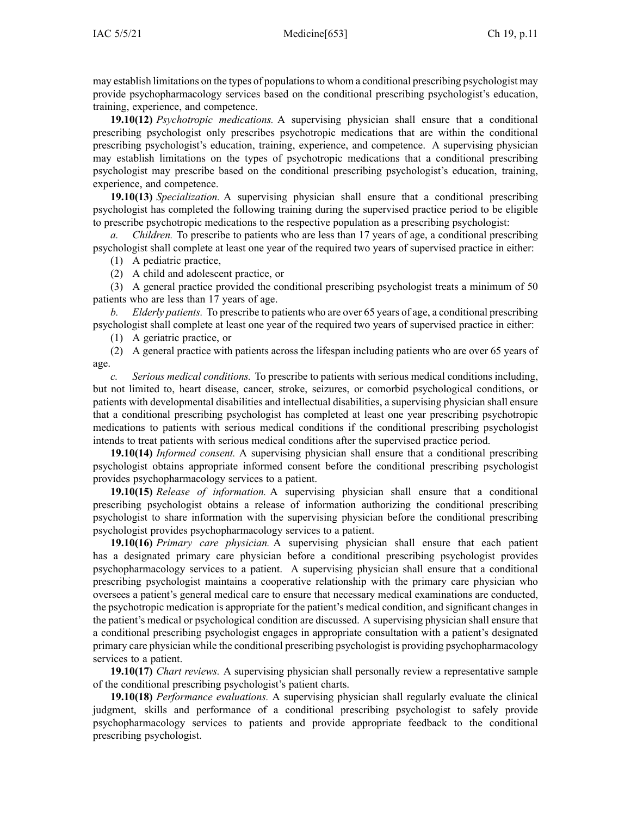may establish limitations on the types of populationsto whom <sup>a</sup> conditional prescribing psychologist may provide psychopharmacology services based on the conditional prescribing psychologist's education, training, experience, and competence.

**19.10(12)** *Psychotropic medications.* A supervising physician shall ensure that <sup>a</sup> conditional prescribing psychologist only prescribes psychotropic medications that are within the conditional prescribing psychologist's education, training, experience, and competence. A supervising physician may establish limitations on the types of psychotropic medications that <sup>a</sup> conditional prescribing psychologist may prescribe based on the conditional prescribing psychologist's education, training, experience, and competence.

**19.10(13)** *Specialization.* A supervising physician shall ensure that <sup>a</sup> conditional prescribing psychologist has completed the following training during the supervised practice period to be eligible to prescribe psychotropic medications to the respective population as <sup>a</sup> prescribing psychologist:

*a. Children.* To prescribe to patients who are less than 17 years of age, <sup>a</sup> conditional prescribing psychologist shall complete at least one year of the required two years of supervised practice in either:

(1) A pediatric practice,

(2) A child and adolescent practice, or

(3) A general practice provided the conditional prescribing psychologist treats <sup>a</sup> minimum of 50 patients who are less than 17 years of age.

*b. Elderly patients.* To prescribe to patients who are over 65 years of age, <sup>a</sup> conditional prescribing psychologist shall complete at least one year of the required two years of supervised practice in either:

(1) A geriatric practice, or

(2) A general practice with patients across the lifespan including patients who are over 65 years of age.

*c. Serious medical conditions.* To prescribe to patients with serious medical conditions including, but not limited to, heart disease, cancer, stroke, seizures, or comorbid psychological conditions, or patients with developmental disabilities and intellectual disabilities, <sup>a</sup> supervising physician shall ensure that <sup>a</sup> conditional prescribing psychologist has completed at least one year prescribing psychotropic medications to patients with serious medical conditions if the conditional prescribing psychologist intends to treat patients with serious medical conditions after the supervised practice period.

**19.10(14)** *Informed consent.* A supervising physician shall ensure that <sup>a</sup> conditional prescribing psychologist obtains appropriate informed consent before the conditional prescribing psychologist provides psychopharmacology services to <sup>a</sup> patient.

**19.10(15)** *Release of information.* A supervising physician shall ensure that <sup>a</sup> conditional prescribing psychologist obtains <sup>a</sup> release of information authorizing the conditional prescribing psychologist to share information with the supervising physician before the conditional prescribing psychologist provides psychopharmacology services to <sup>a</sup> patient.

**19.10(16)** *Primary care physician.* A supervising physician shall ensure that each patient has <sup>a</sup> designated primary care physician before <sup>a</sup> conditional prescribing psychologist provides psychopharmacology services to <sup>a</sup> patient. A supervising physician shall ensure that <sup>a</sup> conditional prescribing psychologist maintains <sup>a</sup> cooperative relationship with the primary care physician who oversees <sup>a</sup> patient's general medical care to ensure that necessary medical examinations are conducted, the psychotropic medication is appropriate for the patient's medical condition, and significant changes in the patient's medical or psychological condition are discussed. A supervising physician shall ensure that <sup>a</sup> conditional prescribing psychologist engages in appropriate consultation with <sup>a</sup> patient's designated primary care physician while the conditional prescribing psychologist is providing psychopharmacology services to <sup>a</sup> patient.

**19.10(17)** *Chart reviews.* A supervising physician shall personally review <sup>a</sup> representative sample of the conditional prescribing psychologist's patient charts.

**19.10(18)** *Performance evaluations.* A supervising physician shall regularly evaluate the clinical judgment, skills and performance of <sup>a</sup> conditional prescribing psychologist to safely provide psychopharmacology services to patients and provide appropriate feedback to the conditional prescribing psychologist.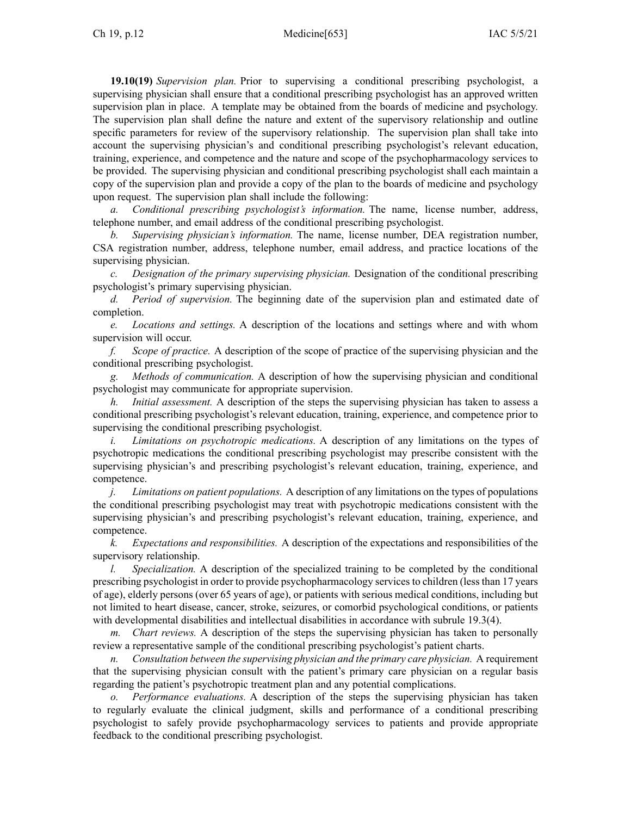**19.10(19)** *Supervision plan.* Prior to supervising <sup>a</sup> conditional prescribing psychologist, <sup>a</sup> supervising physician shall ensure that <sup>a</sup> conditional prescribing psychologist has an approved written supervision plan in place. A template may be obtained from the boards of medicine and psychology. The supervision plan shall define the nature and extent of the supervisory relationship and outline specific parameters for review of the supervisory relationship. The supervision plan shall take into account the supervising physician's and conditional prescribing psychologist's relevant education, training, experience, and competence and the nature and scope of the psychopharmacology services to be provided. The supervising physician and conditional prescribing psychologist shall each maintain <sup>a</sup> copy of the supervision plan and provide <sup>a</sup> copy of the plan to the boards of medicine and psychology upon request. The supervision plan shall include the following:

*a. Conditional prescribing psychologist's information.* The name, license number, address, telephone number, and email address of the conditional prescribing psychologist.

*b. Supervising physician's information.* The name, license number, DEA registration number, CSA registration number, address, telephone number, email address, and practice locations of the supervising physician.

*c. Designation of the primary supervising physician.* Designation of the conditional prescribing psychologist's primary supervising physician.

*d. Period of supervision.* The beginning date of the supervision plan and estimated date of completion.

*e. Locations and settings.* A description of the locations and settings where and with whom supervision will occur.

*f. Scope of practice.* A description of the scope of practice of the supervising physician and the conditional prescribing psychologist.

*g. Methods of communication.* A description of how the supervising physician and conditional psychologist may communicate for appropriate supervision.

*h. Initial assessment.* A description of the steps the supervising physician has taken to assess <sup>a</sup> conditional prescribing psychologist's relevant education, training, experience, and competence prior to supervising the conditional prescribing psychologist.

*i. Limitations on psychotropic medications.* A description of any limitations on the types of psychotropic medications the conditional prescribing psychologist may prescribe consistent with the supervising physician's and prescribing psychologist's relevant education, training, experience, and competence.

*j. Limitations on patient populations.* A description of any limitations on the types of populations the conditional prescribing psychologist may treat with psychotropic medications consistent with the supervising physician's and prescribing psychologist's relevant education, training, experience, and competence.

*k. Expectations and responsibilities.* A description of the expectations and responsibilities of the supervisory relationship.

*l. Specialization.* A description of the specialized training to be completed by the conditional prescribing psychologist in order to provide psychopharmacology servicesto children (lessthan 17 years of age), elderly persons (over 65 years of age), or patients with serious medical conditions, including but not limited to heart disease, cancer, stroke, seizures, or comorbid psychological conditions, or patients with developmental disabilities and intellectual disabilities in accordance with subrule [19.3\(4\)](https://www.legis.iowa.gov/docs/iac/rule/653.19.3.pdf).

*m. Chart reviews.* A description of the steps the supervising physician has taken to personally review <sup>a</sup> representative sample of the conditional prescribing psychologist's patient charts.

*n. Consultation between the supervising physician and the primary care physician.* A requirement that the supervising physician consult with the patient's primary care physician on <sup>a</sup> regular basis regarding the patient's psychotropic treatment plan and any potential complications.

*o. Performance evaluations.* A description of the steps the supervising physician has taken to regularly evaluate the clinical judgment, skills and performance of <sup>a</sup> conditional prescribing psychologist to safely provide psychopharmacology services to patients and provide appropriate feedback to the conditional prescribing psychologist.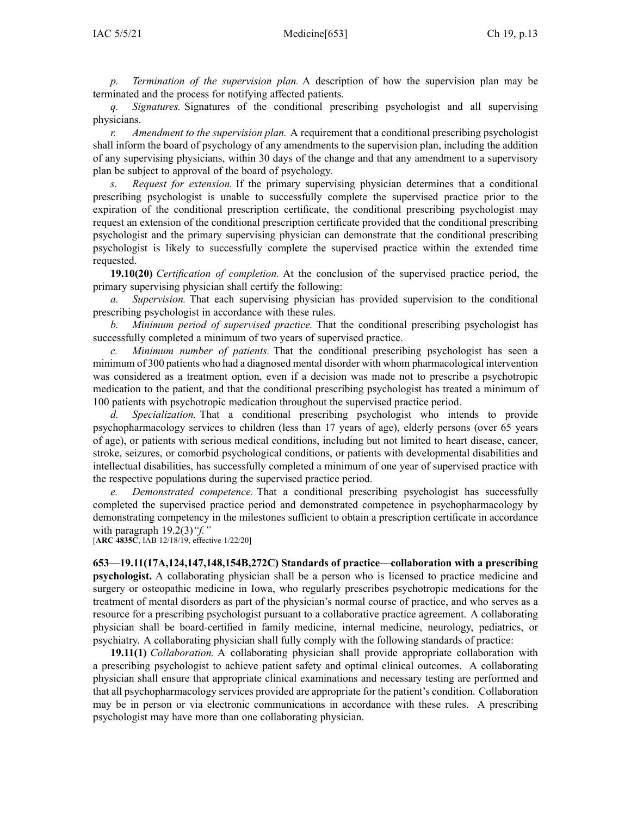*p. Termination of the supervision plan.* A description of how the supervision plan may be terminated and the process for notifying affected patients.

*q. Signatures.* Signatures of the conditional prescribing psychologist and all supervising physicians.

*r. Amendment to the supervision plan.* A requirement that <sup>a</sup> conditional prescribing psychologist shall inform the board of psychology of any amendments to the supervision plan, including the addition of any supervising physicians, within 30 days of the change and that any amendment to <sup>a</sup> supervisory plan be subject to approval of the board of psychology.

*s. Request for extension.* If the primary supervising physician determines that <sup>a</sup> conditional prescribing psychologist is unable to successfully complete the supervised practice prior to the expiration of the conditional prescription certificate, the conditional prescribing psychologist may reques<sup>t</sup> an extension of the conditional prescription certificate provided that the conditional prescribing psychologist and the primary supervising physician can demonstrate that the conditional prescribing psychologist is likely to successfully complete the supervised practice within the extended time requested.

**19.10(20)** *Certification of completion.* At the conclusion of the supervised practice period, the primary supervising physician shall certify the following:

*a. Supervision.* That each supervising physician has provided supervision to the conditional prescribing psychologist in accordance with these rules.

*b. Minimum period of supervised practice.* That the conditional prescribing psychologist has successfully completed <sup>a</sup> minimum of two years of supervised practice.

*c. Minimum number of patients.* That the conditional prescribing psychologist has seen <sup>a</sup> minimum of 300 patients who had <sup>a</sup> diagnosed mental disorder with whom pharmacological intervention was considered as <sup>a</sup> treatment option, even if <sup>a</sup> decision was made not to prescribe <sup>a</sup> psychotropic medication to the patient, and that the conditional prescribing psychologist has treated <sup>a</sup> minimum of 100 patients with psychotropic medication throughout the supervised practice period.

*d. Specialization.* That <sup>a</sup> conditional prescribing psychologist who intends to provide psychopharmacology services to children (less than 17 years of age), elderly persons (over 65 years of age), or patients with serious medical conditions, including but not limited to heart disease, cancer, stroke, seizures, or comorbid psychological conditions, or patients with developmental disabilities and intellectual disabilities, has successfully completed <sup>a</sup> minimum of one year of supervised practice with the respective populations during the supervised practice period.

*e. Demonstrated competence.* That <sup>a</sup> conditional prescribing psychologist has successfully completed the supervised practice period and demonstrated competence in psychopharmacology by demonstrating competency in the milestones sufficient to obtain <sup>a</sup> prescription certificate in accordance with paragraph [19.2\(3\)](https://www.legis.iowa.gov/docs/iac/rule/653.19.2.pdf)*"f."*

[**ARC [4835C](https://www.legis.iowa.gov/docs/aco/arc/4835C.pdf)**, IAB 12/18/19, effective 1/22/20]

**653—19.11(17A,124,147,148,154B,272C) Standards of practice—collaboration with <sup>a</sup> prescribing psychologist.** A collaborating physician shall be <sup>a</sup> person who is licensed to practice medicine and surgery or osteopathic medicine in Iowa, who regularly prescribes psychotropic medications for the treatment of mental disorders as par<sup>t</sup> of the physician's normal course of practice, and who serves as <sup>a</sup> resource for <sup>a</sup> prescribing psychologist pursuan<sup>t</sup> to <sup>a</sup> collaborative practice agreement. A collaborating physician shall be board-certified in family medicine, internal medicine, neurology, pediatrics, or psychiatry. A collaborating physician shall fully comply with the following standards of practice:

**19.11(1)** *Collaboration.* A collaborating physician shall provide appropriate collaboration with <sup>a</sup> prescribing psychologist to achieve patient safety and optimal clinical outcomes. A collaborating physician shall ensure that appropriate clinical examinations and necessary testing are performed and that all psychopharmacology services provided are appropriate for the patient's condition. Collaboration may be in person or via electronic communications in accordance with these rules. A prescribing psychologist may have more than one collaborating physician.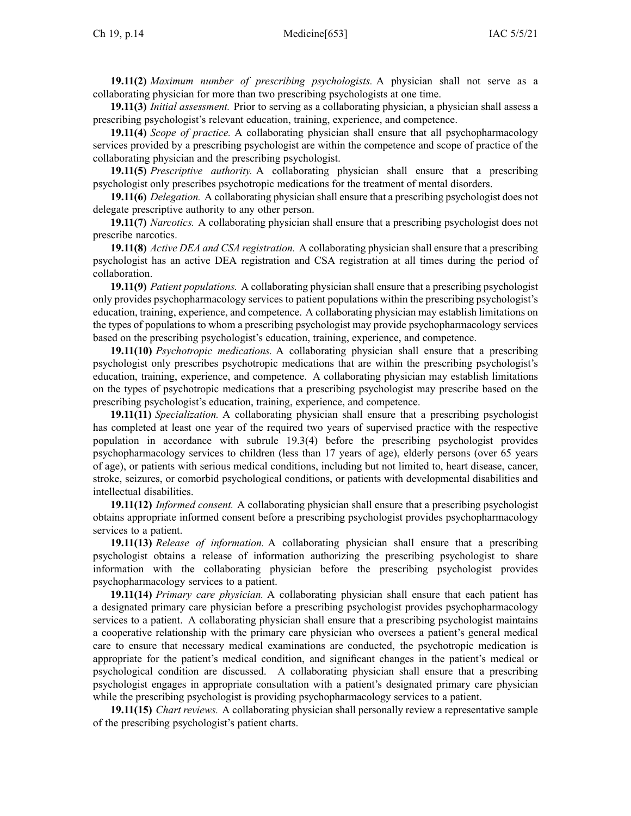**19.11(2)** *Maximum number of prescribing psychologists.* A physician shall not serve as <sup>a</sup> collaborating physician for more than two prescribing psychologists at one time.

**19.11(3)** *Initial assessment.* Prior to serving as <sup>a</sup> collaborating physician, <sup>a</sup> physician shall assess <sup>a</sup> prescribing psychologist's relevant education, training, experience, and competence.

**19.11(4)** *Scope of practice.* A collaborating physician shall ensure that all psychopharmacology services provided by <sup>a</sup> prescribing psychologist are within the competence and scope of practice of the collaborating physician and the prescribing psychologist.

**19.11(5)** *Prescriptive authority.* A collaborating physician shall ensure that <sup>a</sup> prescribing psychologist only prescribes psychotropic medications for the treatment of mental disorders.

**19.11(6)** *Delegation.* A collaborating physician shall ensure that <sup>a</sup> prescribing psychologist does not delegate prescriptive authority to any other person.

**19.11(7)** *Narcotics.* A collaborating physician shall ensure that <sup>a</sup> prescribing psychologist does not prescribe narcotics.

**19.11(8)** *Active DEA and CSA registration.* A collaborating physician shall ensure that <sup>a</sup> prescribing psychologist has an active DEA registration and CSA registration at all times during the period of collaboration.

**19.11(9)** *Patient populations.* A collaborating physician shall ensure that <sup>a</sup> prescribing psychologist only provides psychopharmacology services to patient populations within the prescribing psychologist's education, training, experience, and competence. A collaborating physician may establish limitations on the types of populations to whom <sup>a</sup> prescribing psychologist may provide psychopharmacology services based on the prescribing psychologist's education, training, experience, and competence.

**19.11(10)** *Psychotropic medications.* A collaborating physician shall ensure that <sup>a</sup> prescribing psychologist only prescribes psychotropic medications that are within the prescribing psychologist's education, training, experience, and competence. A collaborating physician may establish limitations on the types of psychotropic medications that <sup>a</sup> prescribing psychologist may prescribe based on the prescribing psychologist's education, training, experience, and competence.

**19.11(11)** *Specialization.* A collaborating physician shall ensure that <sup>a</sup> prescribing psychologist has completed at least one year of the required two years of supervised practice with the respective population in accordance with subrule [19.3\(4\)](https://www.legis.iowa.gov/docs/iac/rule/653.19.3.pdf) before the prescribing psychologist provides psychopharmacology services to children (less than 17 years of age), elderly persons (over 65 years of age), or patients with serious medical conditions, including but not limited to, heart disease, cancer, stroke, seizures, or comorbid psychological conditions, or patients with developmental disabilities and intellectual disabilities.

**19.11(12)** *Informed consent.* A collaborating physician shall ensure that <sup>a</sup> prescribing psychologist obtains appropriate informed consent before <sup>a</sup> prescribing psychologist provides psychopharmacology services to <sup>a</sup> patient.

**19.11(13)** *Release of information.* A collaborating physician shall ensure that <sup>a</sup> prescribing psychologist obtains <sup>a</sup> release of information authorizing the prescribing psychologist to share information with the collaborating physician before the prescribing psychologist provides psychopharmacology services to <sup>a</sup> patient.

**19.11(14)** *Primary care physician.* A collaborating physician shall ensure that each patient has <sup>a</sup> designated primary care physician before <sup>a</sup> prescribing psychologist provides psychopharmacology services to <sup>a</sup> patient. A collaborating physician shall ensure that <sup>a</sup> prescribing psychologist maintains <sup>a</sup> cooperative relationship with the primary care physician who oversees <sup>a</sup> patient's general medical care to ensure that necessary medical examinations are conducted, the psychotropic medication is appropriate for the patient's medical condition, and significant changes in the patient's medical or psychological condition are discussed. A collaborating physician shall ensure that <sup>a</sup> prescribing psychologist engages in appropriate consultation with <sup>a</sup> patient's designated primary care physician while the prescribing psychologist is providing psychopharmacology services to <sup>a</sup> patient.

**19.11(15)** *Chart reviews.* A collaborating physician shall personally review <sup>a</sup> representative sample of the prescribing psychologist's patient charts.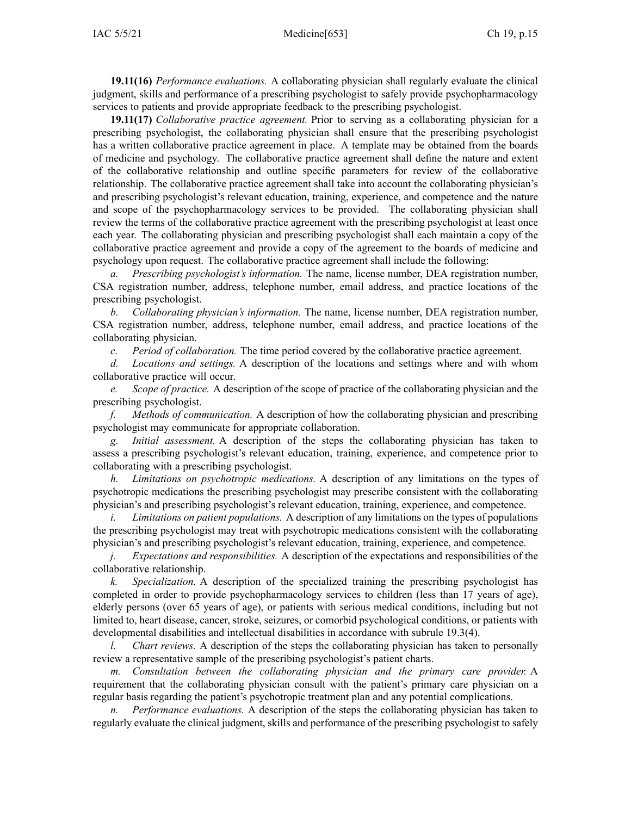**19.11(16)** *Performance evaluations.* A collaborating physician shall regularly evaluate the clinical judgment, skills and performance of <sup>a</sup> prescribing psychologist to safely provide psychopharmacology services to patients and provide appropriate feedback to the prescribing psychologist.

**19.11(17)** *Collaborative practice agreement.* Prior to serving as <sup>a</sup> collaborating physician for <sup>a</sup> prescribing psychologist, the collaborating physician shall ensure that the prescribing psychologist has <sup>a</sup> written collaborative practice agreemen<sup>t</sup> in place. A template may be obtained from the boards of medicine and psychology. The collaborative practice agreemen<sup>t</sup> shall define the nature and extent of the collaborative relationship and outline specific parameters for review of the collaborative relationship. The collaborative practice agreemen<sup>t</sup> shall take into account the collaborating physician's and prescribing psychologist's relevant education, training, experience, and competence and the nature and scope of the psychopharmacology services to be provided. The collaborating physician shall review the terms of the collaborative practice agreemen<sup>t</sup> with the prescribing psychologist at least once each year. The collaborating physician and prescribing psychologist shall each maintain <sup>a</sup> copy of the collaborative practice agreemen<sup>t</sup> and provide <sup>a</sup> copy of the agreemen<sup>t</sup> to the boards of medicine and psychology upon request. The collaborative practice agreemen<sup>t</sup> shall include the following:

*Prescribing psychologist's information.* The name, license number, DEA registration number, CSA registration number, address, telephone number, email address, and practice locations of the prescribing psychologist.

*b. Collaborating physician's information.* The name, license number, DEA registration number, CSA registration number, address, telephone number, email address, and practice locations of the collaborating physician.

*c. Period of collaboration.* The time period covered by the collaborative practice agreement.

*d. Locations and settings.* A description of the locations and settings where and with whom collaborative practice will occur.

*e. Scope of practice.* A description of the scope of practice of the collaborating physician and the prescribing psychologist.

*f. Methods of communication.* A description of how the collaborating physician and prescribing psychologist may communicate for appropriate collaboration.

*g. Initial assessment.* A description of the steps the collaborating physician has taken to assess <sup>a</sup> prescribing psychologist's relevant education, training, experience, and competence prior to collaborating with <sup>a</sup> prescribing psychologist.

*h. Limitations on psychotropic medications.* A description of any limitations on the types of psychotropic medications the prescribing psychologist may prescribe consistent with the collaborating physician's and prescribing psychologist's relevant education, training, experience, and competence.

*i. Limitations on patient populations.* A description of any limitations on the types of populations the prescribing psychologist may treat with psychotropic medications consistent with the collaborating physician's and prescribing psychologist's relevant education, training, experience, and competence.

*j. Expectations and responsibilities.* A description of the expectations and responsibilities of the collaborative relationship.

*k. Specialization.* A description of the specialized training the prescribing psychologist has completed in order to provide psychopharmacology services to children (less than 17 years of age), elderly persons (over 65 years of age), or patients with serious medical conditions, including but not limited to, heart disease, cancer, stroke, seizures, or comorbid psychological conditions, or patients with developmental disabilities and intellectual disabilities in accordance with subrule [19.3\(4\)](https://www.legis.iowa.gov/docs/iac/rule/653.19.3.pdf).

*l. Chart reviews.* A description of the steps the collaborating physician has taken to personally review <sup>a</sup> representative sample of the prescribing psychologist's patient charts.

*m. Consultation between the collaborating physician and the primary care provider.* A requirement that the collaborating physician consult with the patient's primary care physician on <sup>a</sup> regular basis regarding the patient's psychotropic treatment plan and any potential complications.

*n. Performance evaluations.* A description of the steps the collaborating physician has taken to regularly evaluate the clinical judgment, skills and performance of the prescribing psychologist to safely